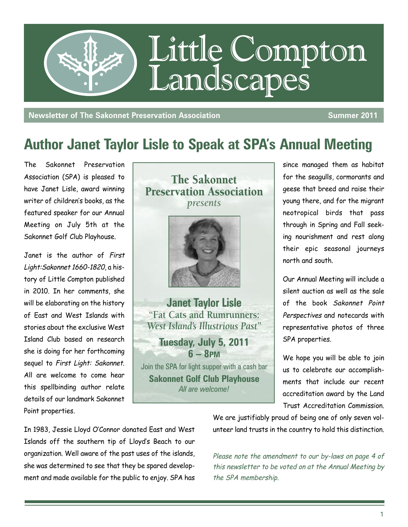

**Newsletter of The Sakonnet Preservation Association Summer 2011**

# **Author Janet Taylor Lisle to Speak at SPA's Annual Meeting**

The Sakonnet Preservation Association (SPA) is pleased to have Janet Lisle, award winning writer of children's books, as the featured speaker for our Annual Meeting on July 5th at the Sakonnet Golf Club Playhouse.

Janet is the author of First Light:Sakonnet 1660-1820, a history of Little Compton published in 2010. In her comments, she will be elaborating on the history of East and West Islands with stories about the exclusive West Island Club based on research she is doing for her forthcoming sequel to First Light: Sakonnet. All are welcome to come hear this spellbinding author relate details of our landmark Sakonnet Point properties.

**The Sakonnet Preservation Association** *presents*



**Janet Taylor Lisle "Fat Cats and Rumrunners:** *West Island's Illustrious Past"*

> **Tuesday, July 5, 2011 6 – 8PM**

Join the SPA for light supper with a cash bar **Sakonnet Golf Club Playhouse** *All are welcome!*

since managed them as habitat for the seagulls, cormorants and geese that breed and raise their young there, and for the migrant neotropical birds that pass through in Spring and Fall seeking nourishment and rest along their epic seasonal journeys north and south.

Our Annual Meeting will include a silent auction as well as the sale of the book Sakonnet Point Perspectives and notecards with representative photos of three SPA properties.

We hope you will be able to join us to celebrate our accomplishments that include our recent accreditation award by the Land Trust Accreditation Commission.

In 1983, Jessie Lloyd O'Connor donated East and West Islands off the southern tip of Lloyd's Beach to our organization. Well aware of the past uses of the islands, she was determined to see that they be spared development and made available for the public to enjoy. SPA has We are justifiably proud of being one of only seven volunteer land trusts in the country to hold this distinction.

Please note the amendment to our by-laws on page 4 of this newsletter to be voted on at the Annual Meeting by the SPA membership.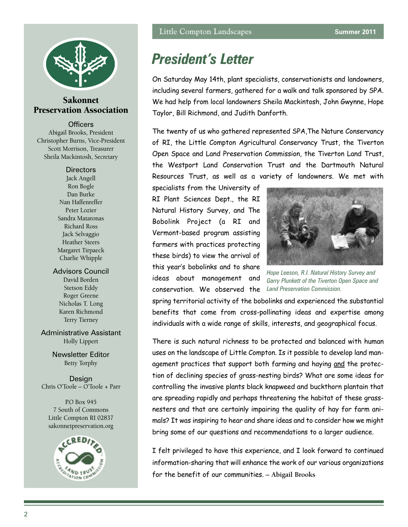

### **Sakonnet Preservation Association**

**Officers** Abigail Brooks, President Christopher Burns, Vice-President Scott Morrison, Treasurer Sheila Mackintosh, Secretary

#### **Directors**

Jack Angell Ron Bogle Dan Burke Nan Haffenreffer Peter Lozier Sandra Mataronas Richard Ross Jack Selvaggio Heather Steers Margaret Tirpaeck Charlie Whipple

Advisors Council David Borden Stetson Eddy Roger Greene Nicholas T. Long Karen Richmond Terry Tierney

Administrative Assistant Holly Lippert

> Newsletter Editor Betty Torphy

Design Chris O'Toole – O'Toole + Parr

P.O Box 945 7 South of Commons Little Compton RI 02837 sakonnetpreservation.org



## *President's Letter*

On Saturday May 14th, plant specialists, conservationists and landowners, including several farmers, gathered for a walk and talk sponsored by SPA. We had help from local landowners Sheila Mackintosh, John Gwynne, Hope Taylor, Bill Richmond, and Judith Danforth.

The twenty of us who gathered represented SPA,The Nature Conservancy of RI, the Little Compton Agricultural Conservancy Trust, the Tiverton Open Space and Land Preservation Commission, the Tiverton Land Trust, the Westport Land Conservation Trust and the Dartmouth Natural Resources Trust, as well as a variety of landowners. We met with

specialists from the University of RI Plant Sciences Dept., the RI Natural History Survey, and The Bobolink Project (a RI and Vermont-based program assisting farmers with practices protecting these birds) to view the arrival of this year's bobolinks and to share ideas about management and conservation. We observed the



*Hope Leeson, R.I. Natural History Survey and Garry Plunkett of the Tiverton Open Space and Land Preservation Commission.*

spring territorial activity of the bobolinks and experienced the substantial benefits that come from cross-pollinating ideas and expertise among individuals with a wide range of skills, interests, and geographical focus.

There is such natural richness to be protected and balanced with human uses on the landscape of Little Compton. Is it possible to develop land management practices that support both farming and haying and the protection of declining species of grass-nesting birds? What are some ideas for controlling the invasive plants black knapweed and buckthorn plantain that are spreading rapidly and perhaps threatening the habitat of these grassnesters and that are certainly impairing the quality of hay for farm animals? It was inspiring to hear and share ideas and to consider how we might bring some of our questions and recommendations to a larger audience.

I felt privileged to have this experience, and I look forward to continued information-sharing that will enhance the work of our various organizations for the benefit of our communities. **– Abigail Brooks**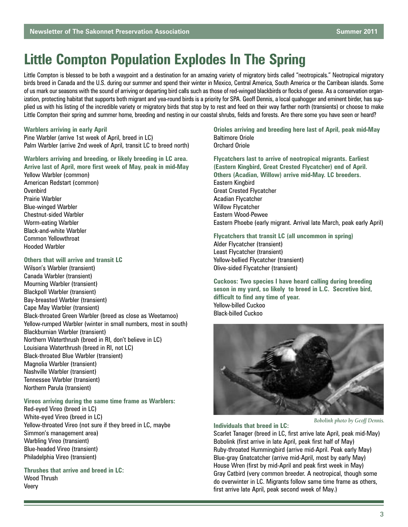# **Little Compton Population Explodes In The Spring**

Little Compton is blessed to be both a waypoint and a destination for an amazing variety of migratory birds called "neotropicals." Neotropical migratory birds breed in Canada and the U.S. during our summer and spend their winter in Mexico, Central America, South America or the Carribean islands. Some of us mark our seasons with the sound of arriving or departing bird calls such as those of red-winged blackbirds or flocks of geese. As a conservation organization, protecting habitat that supports both migrant and yea-round birds is a priority for SPA. Geoff Dennis, a local quahogger and eminent birder, has supplied us with his listing of the incredible variety or migratory birds that stop by to rest and feed on their way farther north (transients) or choose to make Little Compton their spring and summer home, breeding and nesting in our coastal shrubs, fields and forests. Are there some you have seen or heard?

#### **Warblers arriving in early April**

Pine Warbler (arrive 1st week of April, breed in LC) Palm Warbler (arrive 2nd week of April, transit LC to breed north)

**Warblers arriving and breeding, or likely breeding in LC area. Arrive last of April, more first week of May, peak in mid-May** Yellow Warbler (common) American Redstart (common) **Ovenbird** Prairie Warbler Blue-winged Warbler Chestnut-sided Warbler Worm-eating Warbler Black-and-white Warbler Common Yellowthroat Hooded Warbler

#### **Others that will arrive and transit LC**

Wilson's Warbler (transient) Canada Warbler (transient) Mourning Warbler (transient) Blackpoll Warbler (transient) Bay-breasted Warbler (transient) Cape May Warbler (transient) Black-throated Green Warbler (breed as close as Weetamoo) Yellow-rumped Warbler (winter in small numbers, most in south) Blackburnian Warbler (transient) Northern Waterthrush (breed in RI, don't believe in LC) Louisiana Waterthrush (breed in RI, not LC) Black-throated Blue Warbler (transient) Magnolia Warbler (transient) Nashville Warbler (transient) Tennessee Warbler (transient) Northern Parula (transient)

#### **Vireos arriving during the same time frame as Warblers:**

Red-eyed Vireo (breed in LC) White-eyed Vireo (breed in LC) Yellow-throated Vireo (not sure if they breed in LC, maybe Simmon's management area) Warbling Vireo (transient) Blue-headed Vireo (transient) Philadelphia Vireo (transient)

**Thrushes that arrive and breed in LC:** Wood Thrush Veery

**Orioles arriving and breeding here last of April, peak mid-May** Baltimore Oriole Orchard Oriole

**Flycatchers last to arrive of neotropical migrants. Earliest (Eastern Kingbird, Great Crested Flycatcher) end of April. Others (Acadian, Willow) arrive mid-May. LC breeders.** Eastern Kingbird Great Crested Flycatcher Acadian Flycatcher Willow Flycatcher Eastern Wood-Pewee Eastern Phoebe (early migrant. Arrival late March, peak early April)

**Flycatchers that transit LC (all uncommon in spring)** Alder Flycatcher (transient) Least Flycatcher (transient) Yellow-bellied Flycatcher (transient) Olive-sided Flycatcher (transient)

**Cuckoos: Two species I have heard calling during breeding seson in my yard, so likely to breed in L.C. Secretive bird, difficult to find any time of year.** Yellow-billed Cuckoo Black-billed Cuckoo



#### **Individuals that breed in LC:**

*Bobolink photo by Geoff Dennis.*

Scarlet Tanager (breed in LC, first arrive late April, peak mid-May) Bobolink (first arrive in late April, peak first half of May) Ruby-throated Hummingbird (arrive mid-April. Peak early May) Blue-gray Gnatcatcher (arrive mid-April, most by early May) House Wren (first by mid-April and peak first week in May) Gray Catbird (very common breeder. A neotropical, though some do overwinter in LC. Migrants follow same time frame as others, first arrive late April, peak second week of May.)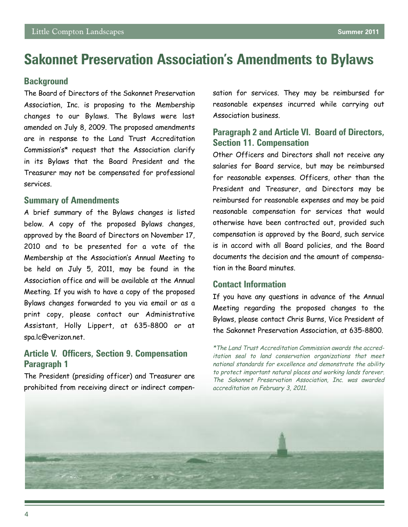# **Sakonnet Preservation Association's Amendments to Bylaws**

### **Background**

The Board of Directors of the Sakonnet Preservation Association, Inc. is proposing to the Membership changes to our Bylaws. The Bylaws were last amended on July 8, 2009. The proposed amendments are in response to the Land Trust Accreditation Commission's\* request that the Association clarify in its Bylaws that the Board President and the Treasurer may not be compensated for professional services.

#### **Summary of Amendments**

A brief summary of the Bylaws changes is listed below. A copy of the proposed Bylaws changes, approved by the Board of Directors on November 17, 2010 and to be presented for a vote of the Membership at the Association's Annual Meeting to be held on July 5, 2011, may be found in the Association office and will be available at the Annual Meeting. If you wish to have a copy of the proposed Bylaws changes forwarded to you via email or as a print copy, please contact our Administrative Assistant, Holly Lippert, at 635-8800 or at spa.lc@verizon.net.

### **Article V. Officers, Section 9. Compensation Paragraph 1**

The President (presiding officer) and Treasurer are prohibited from receiving direct or indirect compensation for services. They may be reimbursed for reasonable expenses incurred while carrying out Association business.

### **Paragraph 2 and Article VI. Board of Directors, Section 11. Compensation**

Other Officers and Directors shall not receive any salaries for Board service, but may be reimbursed for reasonable expenses. Officers, other than the President and Treasurer, and Directors may be reimbursed for reasonable expenses and may be paid reasonable compensation for services that would otherwise have been contracted out, provided such compensation is approved by the Board, such service is in accord with all Board policies, and the Board documents the decision and the amount of compensation in the Board minutes.

### **Contact Information**

If you have any questions in advance of the Annual Meeting regarding the proposed changes to the Bylaws, please contact Chris Burns, Vice President of the Sakonnet Preservation Association, at 635-8800.

\*The Land Trust Accreditation Commission awards the accreditation seal to land conservation organizations that meet national standards for excellence and demonstrate the ability to protect important natural places and working lands forever. The Sakonnet Preservation Association, Inc. was awarded accreditation on February 3, 2011.

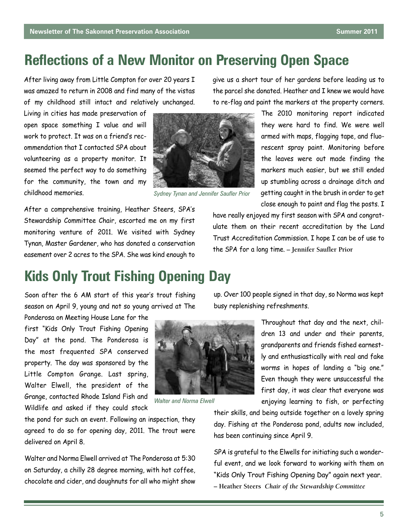5

# **Reflections of a New Monitor on Preserving Open Space**

After living away from Little Compton for over 20 years I was amazed to return in 2008 and find many of the vistas of my childhood still intact and relatively unchanged.

Living in cities has made preservation of open space something I value and will work to protect. It was on a friend's recommendation that I contacted SPA about volunteering as a property monitor. It seemed the perfect way to do something for the community, the town and my childhood memories.

After a comprehensive training, Heather Steers, SPA's Stewardship Committee Chair, escorted me on my first monitoring venture of 2011. We visited with Sydney Tynan, Master Gardener, who has donated a conservation easement over 2 acres to the SPA. She was kind enough to

give us a short tour of her gardens before leading us to the parcel she donated. Heather and I knew we would have to re-flag and paint the markers at the property corners.

> The 2010 monitoring report indicated they were hard to find. We were well armed with maps, flagging tape, and fluorescent spray paint. Monitoring before the leaves were out made finding the markers much easier, but we still ended up stumbling across a drainage ditch and getting caught in the brush in order to get close enough to paint and flag the posts. I

have really enjoyed my first season with SPA and congratulate them on their recent accreditation by the Land Trust Accreditation Commission. I hope I can be of use to the SPA for a long time. **– Jennifer Saufler Prior**

### **Kids Only Trout Fishing Opening Day**

Soon after the 6 AM start of this year's trout fishing season on April 9, young and not so young arrived at The

Ponderosa on Meeting House Lane for the first "Kids Only Trout Fishing Opening Day" at the pond. The Ponderosa is the most frequented SPA conserved property. The day was sponsored by the Little Compton Grange. Last spring, Walter Elwell, the president of the Grange, contacted Rhode Island Fish and Wildlife and asked if they could stock

the pond for such an event. Following an inspection, they agreed to do so for opening day, 2011. The trout were delivered on April 8.

Walter and Norma Elwell arrived at The Ponderosa at 5:30 on Saturday, a chilly 28 degree morning, with hot coffee, chocolate and cider, and doughnuts for all who might show

up. Over 100 people signed in that day, so Norma was kept busy replenishing refreshments.

> Throughout that day and the next, children 13 and under and their parents, grandparents and friends fished earnestly and enthusiastically with real and fake worms in hopes of landing a "big one." Even though they were unsuccessful the first day, it was clear that everyone was enjoying learning to fish, or perfecting

their skills, and being outside together on a lovely spring day. Fishing at the Ponderosa pond, adults now included, has been continuing since April 9.

SPA is grateful to the Elwells for initiating such a wonderful event, and we look forward to working with them on "Kids Only Trout Fishing Opening Day" again next year. **– Heather Steers** *Chair of the Stewardship Committee*



*Walter and Norma Elwell*



*Sydney Tynan and Jennifer Saufler Prior*